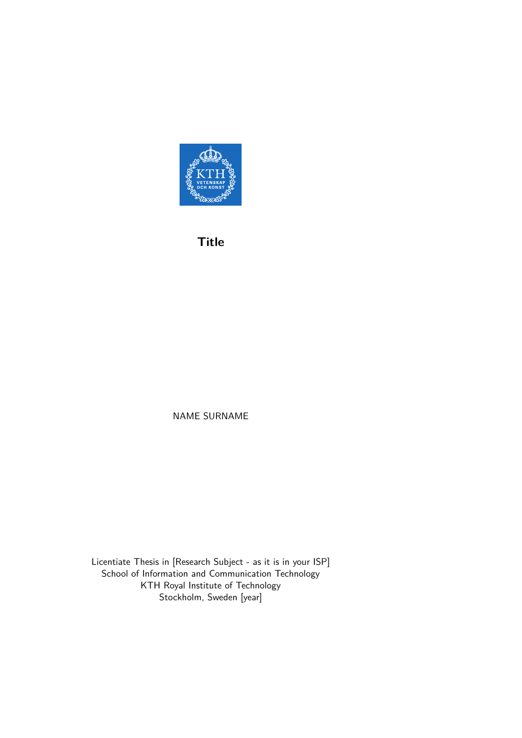

**Title**

NAME SURNAME

Licentiate Thesis in [Research Subject - as it is in your ISP] School of Information and Communication Technology KTH Royal Institute of Technology Stockholm, Sweden [year]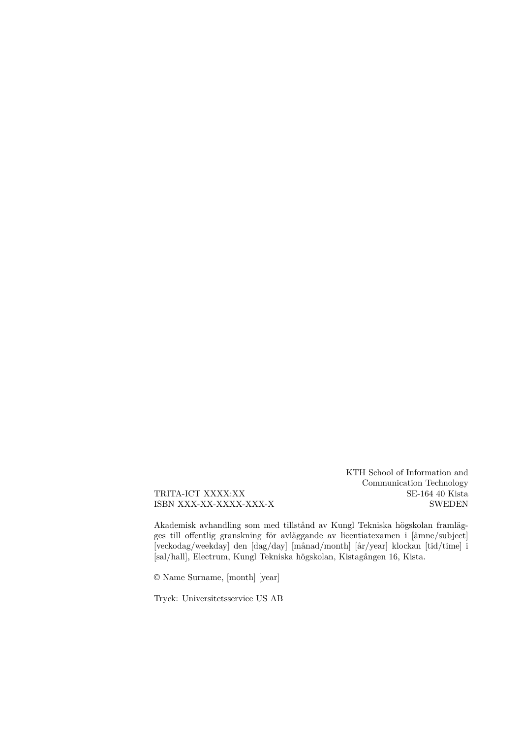KTH School of Information and Communication Technology SE-164 40 Kista SWEDEN

TRITA-ICT XXXX:XX ISBN XXX-XX-XXXX-XXX-X

Akademisk avhandling som med tillstånd av Kungl Tekniska högskolan framlägges till offentlig granskning för avläggande av licentiatexamen i [ämne/subject] [veckodag/weekday] den [dag/day] [månad/month] [år/year] klockan [tid/time] i [sal/hall], Electrum, Kungl Tekniska högskolan, Kistagången 16, Kista.

© Name Surname, [month] [year]

Tryck: Universitetsservice US AB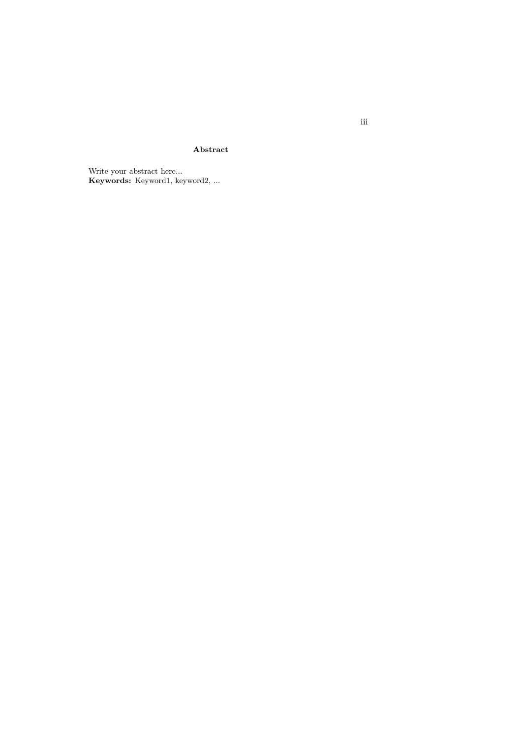**Abstract**

Write your abstract here... **Keywords:** Keyword1, keyword2, ... iii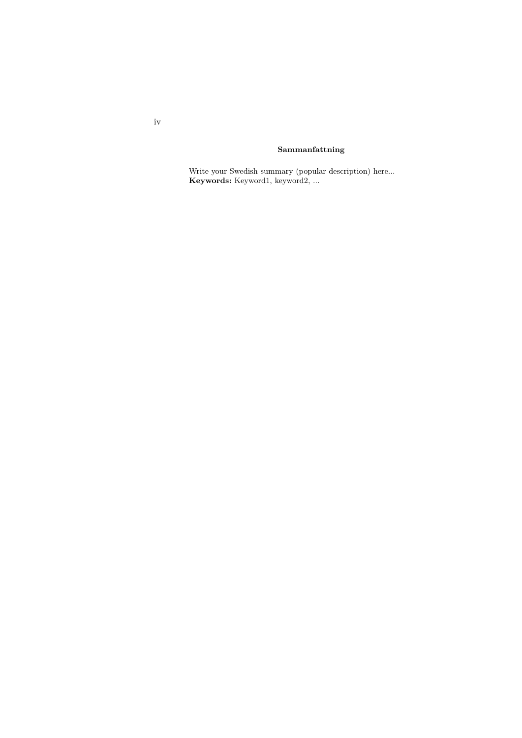#### **Sammanfattning**

Write your Swedish summary (popular description) here... **Keywords:** Keyword1, keyword2, ...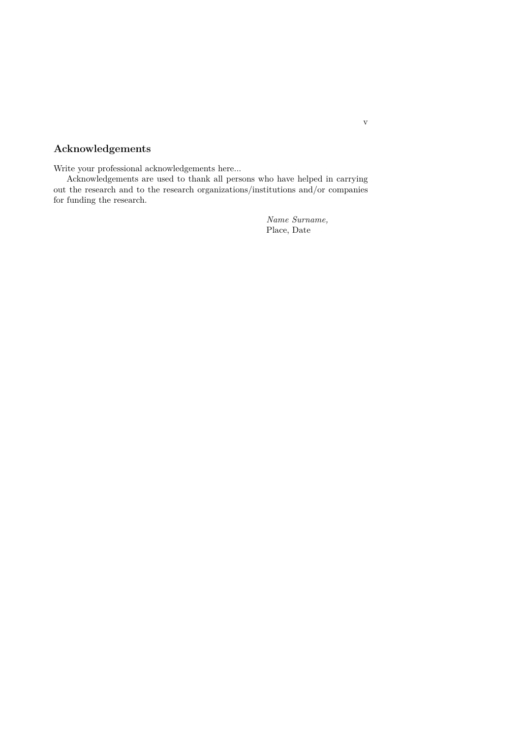#### **Acknowledgements**

Write your professional acknowledgements here...

Acknowledgements are used to thank all persons who have helped in carrying out the research and to the research organizations/institutions and/or companies for funding the research.

> *Name Surname,* Place, Date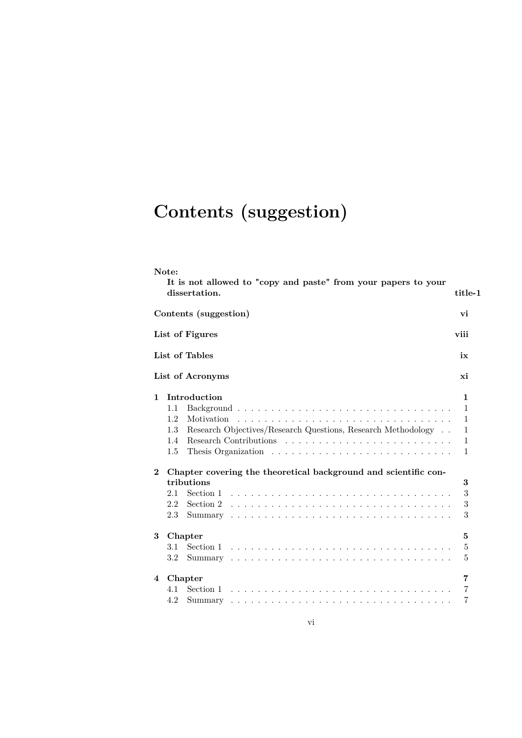# **Contents (suggestion)**

|                | Note:<br>It is not allowed to "copy and paste" from your papers to your                                                                                                                                                                                                                                                                                   |                                                                      |
|----------------|-----------------------------------------------------------------------------------------------------------------------------------------------------------------------------------------------------------------------------------------------------------------------------------------------------------------------------------------------------------|----------------------------------------------------------------------|
|                | dissertation.                                                                                                                                                                                                                                                                                                                                             | title-1                                                              |
|                | Contents (suggestion)                                                                                                                                                                                                                                                                                                                                     | vi                                                                   |
|                | List of Figures                                                                                                                                                                                                                                                                                                                                           | viii                                                                 |
|                | List of Tables                                                                                                                                                                                                                                                                                                                                            | ix                                                                   |
|                | List of Acronyms                                                                                                                                                                                                                                                                                                                                          | xi                                                                   |
| 1.<br>$\bf{2}$ | Introduction<br>1.1<br>1.2<br>Motivation<br>Research Objectives/Research Questions, Research Methodology<br>1.3<br>Research Contributions $\ldots$ , $\ldots$ , $\ldots$ , $\ldots$ , $\ldots$ , $\ldots$ , $\ldots$<br>1.4<br>$1.5\,$<br>Chapter covering the theoretical background and scientific con-<br>tributions<br>2.1<br>Section 1<br>2.2<br>2.3 | 1<br>1<br>$\mathbf{1}$<br>1<br>1<br>$\mathbf{1}$<br>3<br>3<br>3<br>3 |
| 3              | Chapter<br>Section 1 $\ldots \ldots \ldots \ldots \ldots \ldots \ldots \ldots \ldots \ldots \ldots$<br>3.1<br>3.2                                                                                                                                                                                                                                         | 5<br>5<br>5                                                          |
| 4              | Chapter<br>4.1<br>4.2                                                                                                                                                                                                                                                                                                                                     | 7<br>7<br>7                                                          |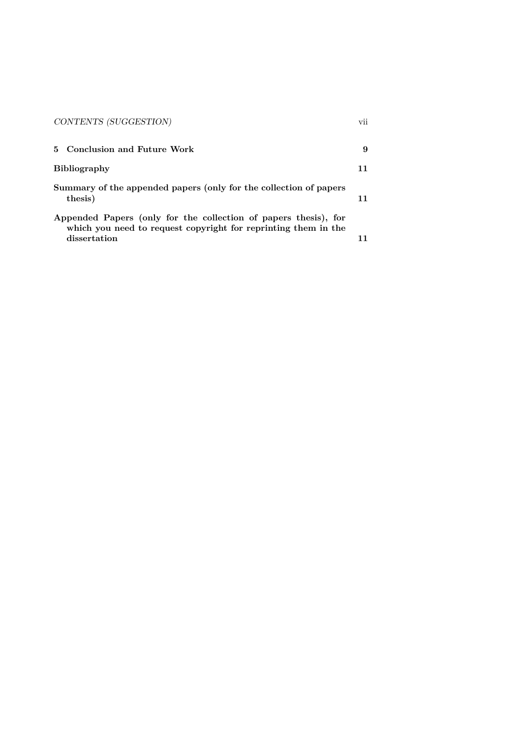| CONTENTS (SUGGESTION)                                                                                                                             | vii |
|---------------------------------------------------------------------------------------------------------------------------------------------------|-----|
| Conclusion and Future Work<br>5.                                                                                                                  | 9   |
| <b>Bibliography</b>                                                                                                                               | 11  |
| Summary of the appended papers (only for the collection of papers<br>thesis)                                                                      | 11  |
| Appended Papers (only for the collection of papers thesis), for<br>which you need to request copyright for reprinting them in the<br>dissertation |     |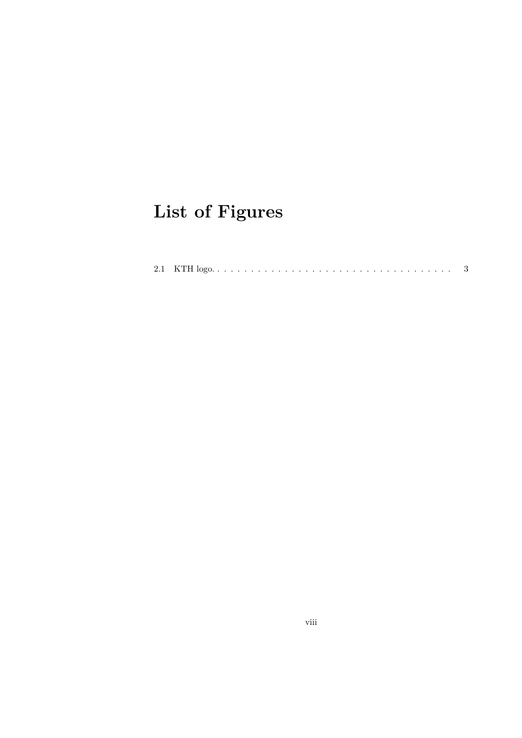# **List of Figures**

|--|--|--|--|--|--|--|--|--|--|--|--|--|--|--|--|--|--|--|--|--|--|--|--|--|--|--|--|--|--|--|--|--|--|--|--|--|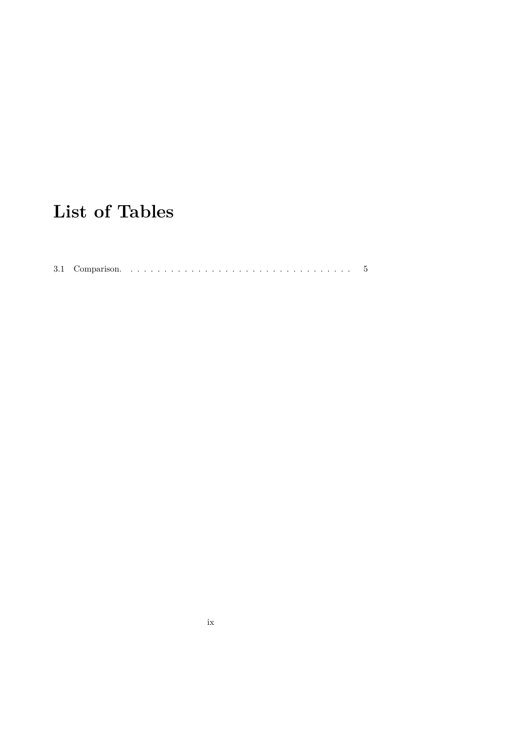## **List of Tables**

3.1 Comparison. . . . . . . . . . . . . . . . . . . . . . . . . . . . . . . . . . 5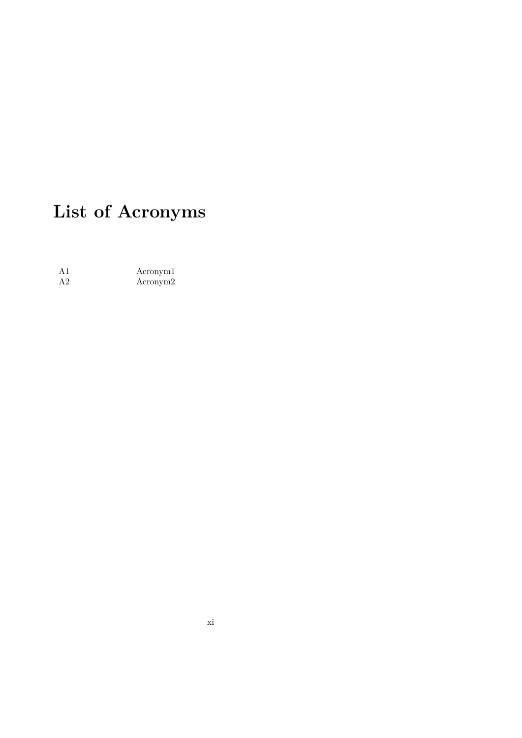# **List of Acronyms**

A1 Acronym1<br>A2 Acronym2 Acronym2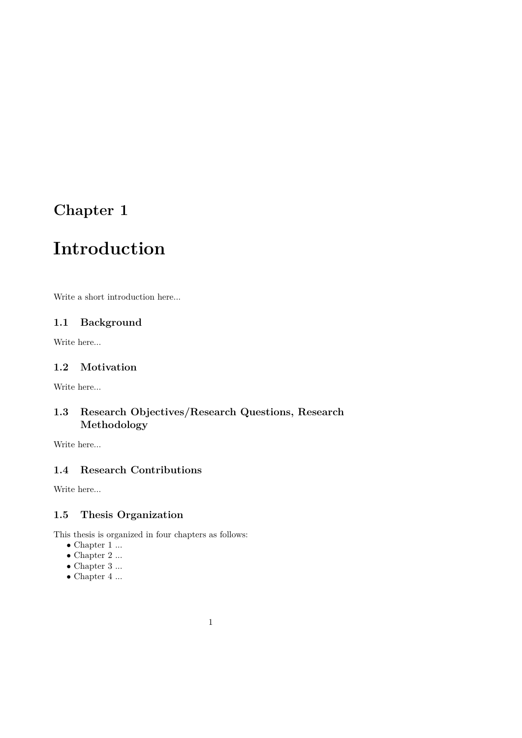### **Introduction**

Write a short introduction here...

#### **1.1 Background**

Write here...

#### **1.2 Motivation**

Write here...

#### **1.3 Research Objectives/Research Questions, Research Methodology**

Write here...

#### **1.4 Research Contributions**

Write here...

#### **1.5 Thesis Organization**

This thesis is organized in four chapters as follows:

- $\bullet$  Chapter 1  $\ldots$
- $\bullet$  Chapter 2  $\ldots$
- $\bullet$  Chapter 3  $\ldots$
- $\bullet$  Chapter 4  $\ldots$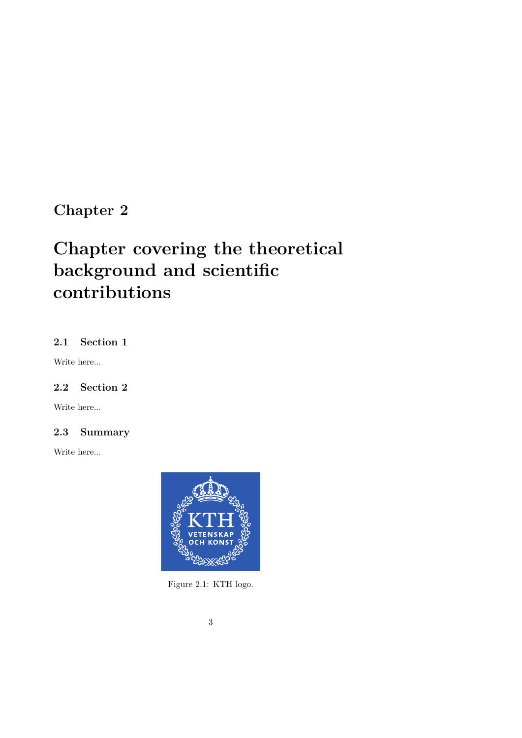### **Chapter covering the theoretical background and scientific contributions**

#### **2.1 Section 1**

Write here...

#### **2.2 Section 2**

Write here...

#### **2.3 Summary**

Write here...



Figure 2.1: KTH logo.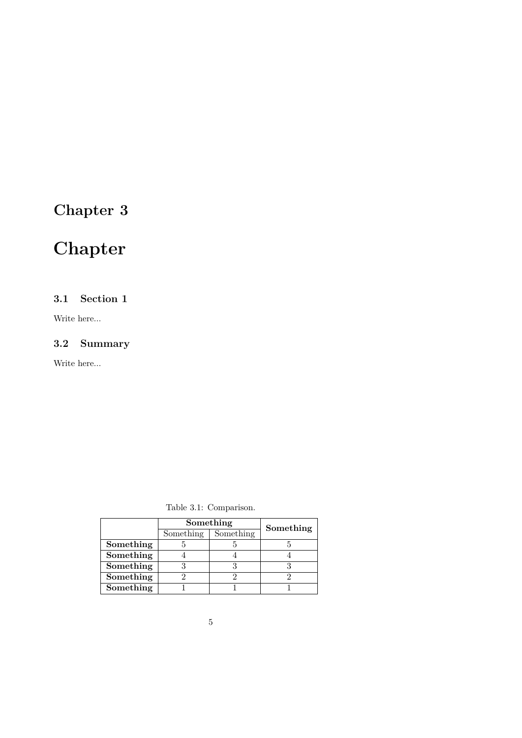## **Chapter**

#### **3.1 Section 1**

Write here...

#### **3.2 Summary**

Write here...

Table 3.1: Comparison.

|           | Something | Something |  |  |  |  |  |  |
|-----------|-----------|-----------|--|--|--|--|--|--|
|           | Something | Something |  |  |  |  |  |  |
| Something |           |           |  |  |  |  |  |  |
| Something |           |           |  |  |  |  |  |  |
| Something |           |           |  |  |  |  |  |  |
| Something |           |           |  |  |  |  |  |  |
| Something |           |           |  |  |  |  |  |  |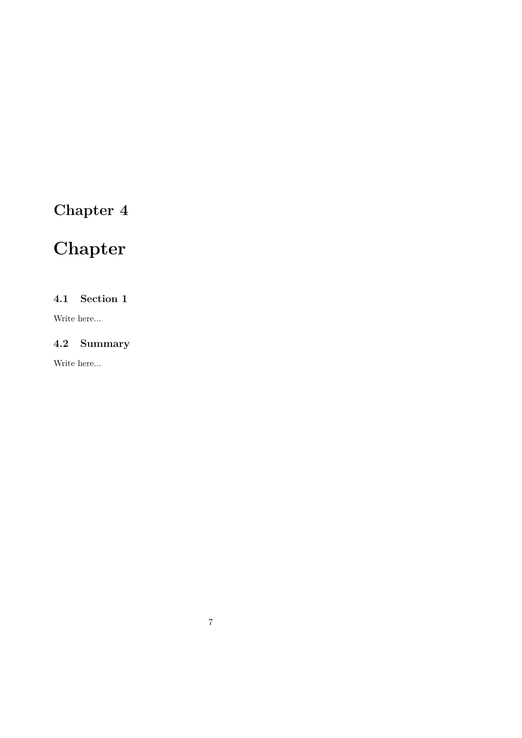## **Chapter**

#### **4.1 Section 1**

Write here...

#### **4.2 Summary**

Write here...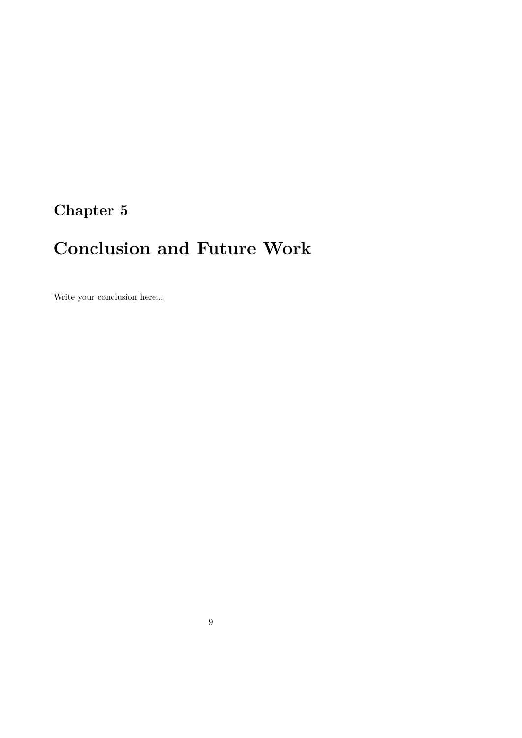## **Conclusion and Future Work**

Write your conclusion here...